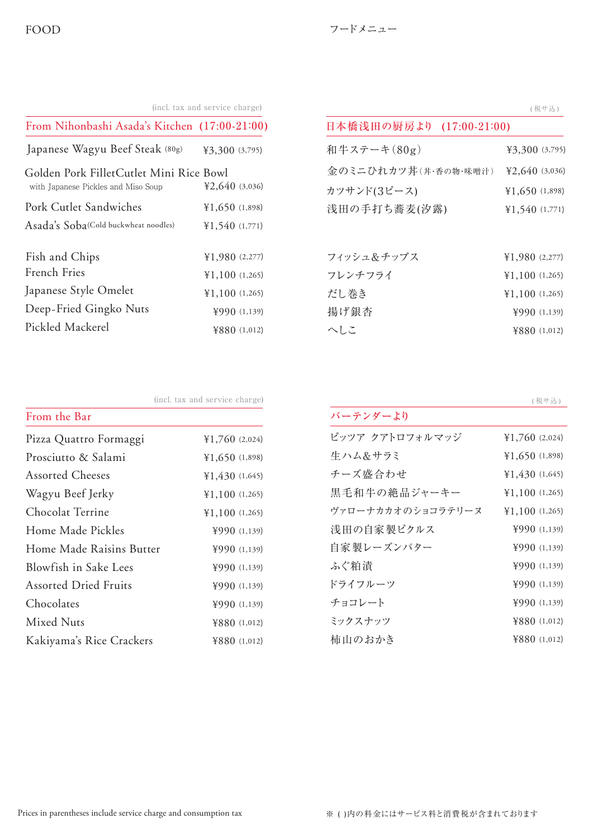| (incl. tax and service charge)<br>From Nihonbashi Asada's Kitchen (17:00-21:00) |                  |                          | (税サ込)         |
|---------------------------------------------------------------------------------|------------------|--------------------------|---------------|
|                                                                                 |                  | 日本橋浅田の厨房より (17:00-21:00) |               |
| Japanese Wagyu Beef Steak (80g)                                                 | ¥3,300 (3,795)   | 和牛ステーキ(80g)              | ¥3,300 (3,79  |
| Golden Pork FilletCutlet Mini Rice Bowl                                         |                  | 金のミニひれカツ丼(丼·香の物·味噌汁)     | ¥2,640 (3,03  |
| with Japanese Pickles and Miso Soup                                             | 42,640(3,036)    | カツサンド(3ピース)              | ¥1,650 (1,89) |
| Pork Cutlet Sandwiches                                                          | ¥1,650(1,898)    | 浅田の手打ち蕎麦(汐露)             | ¥1,540 (1,77  |
| Asada's Soba(Cold buckwheat noodles)                                            | ¥1,540(1,771)    |                          |               |
| Fish and Chips                                                                  | ¥1,980 $(2,277)$ | フィッシュ&チップス               | ¥1,980 (2,27) |
| French Fries                                                                    | ¥1,100(1,265)    | フレンチフライ                  | ¥1,100 (1,26) |
| Japanese Style Omelet                                                           | ¥1,100(1,265)    | だし巻き                     | ¥1,100 (1,26) |
| Deep-Fried Gingko Nuts                                                          | ¥990(1,139)      | 揚げ銀杏                     | ¥990 (1,13)   |
| Pickled Mackerel                                                                | ¥880 $(1,012)$   | へしこ                      | ¥880 (1,012   |

| 日本橋浅田の厨房より (17:00-21:00) |                                     |  |  |
|--------------------------|-------------------------------------|--|--|
| 和牛ステーキ(80g)              | 43,300(3,795)                       |  |  |
| 金のミニひれカツ丼(丼・香の物・味噌汁)     | 42,640(3,036)                       |  |  |
| カツサンド(3ピース)              | ¥1,650 $(1,898)$                    |  |  |
| 浅田の手打ち蕎麦(汐露)             | ¥1,540(1,771)                       |  |  |
|                          |                                     |  |  |
| フィッシュ&チップス               | ¥1,980(2,277)                       |  |  |
| フレンチフライ                  | $\text{\textsterling}1,100$ (1,265) |  |  |
| だし巻き                     | ¥1,100(1,265)                       |  |  |
| 揚げ銀杏                     | ¥990(1,139)                         |  |  |
| へしこ                      | 4880(1,012)                         |  |  |
|                          |                                     |  |  |

(incl. tax and service charge)  $\overline{\mathcal{R}}$   $\overline{\mathcal{R}}$   $\overline{\mathcal{R}}$   $\overline{\mathcal{R}}$   $\overline{\mathcal{R}}$   $\overline{\mathcal{R}}$   $\overline{\mathcal{R}}$   $\overline{\mathcal{R}}$   $\overline{\mathcal{R}}$   $\overline{\mathcal{R}}$   $\overline{\mathcal{R}}$   $\overline{\mathcal{R}}$   $\overline{\mathcal{R}}$   $\overline{\mathcal{R}}$   $\overline{\mathcal{R}}$   $\overline{\mathcal{$ 

| ¥1,760 $(2,024)$                    |
|-------------------------------------|
| 41,650(1,898)                       |
| 430(1,645)                          |
| $\text{\textsterling}1,100$ (1,265) |
| $\text{\textsterling}1,100$ (1,265) |
| 4990(1,139)                         |
| 4990(1,139)                         |
| 4990(1,139)                         |
| 4990(1,139)                         |
| 4990(1,139)                         |
| 4880(1,012)                         |
| ¥880 (1,012)                        |
|                                     |

| バーテンダーより          |                                 |
|-------------------|---------------------------------|
| ピッツア クアトロフォルマッジ   | ¥1,760(2,024)                   |
| 生 ハム&サラミ          | ¥1,650(1,898)                   |
| チーズ盛合わせ           | 430(1,645)                      |
| 黒毛和牛の絶品ジャーキー      | ¥1,100(1,265)                   |
| ヴァローナカカオのショコラテリーヌ | $\text{\textless}1,100$ (1,265) |
| 浅田の自家製ピクルス        | ¥990(1,139)                     |
| 自家製レーズンバター        | ¥990(1,139)                     |
| ふぐ粕漬              | ¥990 (1,139)                    |
| ドライフルーツ           | $\text{\#990}$ (1,139)          |
| チョコレート            | $\text{\#990}$ (1,139)          |
| ミックスナッツ           | ¥880 (1,012)                    |
| 柿山のおかき            | 4880(1,012)                     |